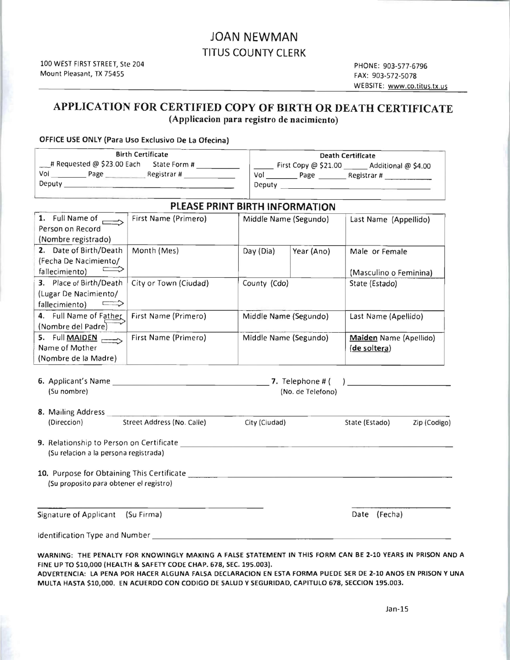## JOAN NEWMAN TITUS COUNTY CLERK

#### APPLICATION FOR CERTIFIED COpy OF BIRTH OR DEATH CERTIFICATE (Applicacion para registro de nacimiento)

#### OFFICE USE ONLY (Para Uso Exclusivo De La Ofecina)

| <b>Birth Certificate</b>   |              |        | Death Certificate      |                     |  |
|----------------------------|--------------|--------|------------------------|---------------------|--|
| # Requested @ \$23.00 Each | State Form # |        | First Copy $@$ \$21.00 | Additional @ \$4.00 |  |
| Vol<br>Page                | Registrar#   | Vol    | Page                   | Registrar#          |  |
| Deputy                     |              | Deputy |                        |                     |  |

#### PLEASE PRINT BIRTH INFORMATION 1. Full Name of  $\overline{c}$ Person on Record (Nombre registrado) First Name (Primero) Middle Name (Segundo) Last Name (Appellido) 2. Date of Birth/Death I (Fecha De Nacimiento/  $fallecimiento$   $\equiv$ Month (Mes) Day (Dia) Year (Ano) Male or Female (Masculino 0 Feminina) . 3. Place of Birth/Death (Lugar De Nacim iento/ fallecimiento)  $\implies$ City or Town (Ciudad) County (Cdo) State (Estado) 4. Full Name of Father | First Name (Primero) (Nombre del Padre Middle Name (Segundo) | Last Name (Apellido) 5. Full **MAIDEN** Name of Mother (Nombre de la Madre) First Name (Primero) Middle Name (Segundo) Maiden Name (Apellido) (de soltera)

| 6. Applicant's Name | 7. Telephone # (  |
|---------------------|-------------------|
| (Su nombre)         | (No. de Telefono) |

### 8. Mailing Address (Direccion) Street Address (No. Calle) City (Ciudad) State (Estado) Zip (Codigo)

| 9. Relationship to Person on Certificate |
|------------------------------------------|
| (Su relacion a la persona registrada)    |

| 10. Purpose for Obtaining This Certificate |  |
|--------------------------------------------|--|
| (Su proposito para obtener el registro)    |  |
|                                            |  |
|                                            |  |
|                                            |  |

Signature of Applicant (Su Firma) Signature of Applicant (Su Firma) Date (Fecha)

 $\overline{a}$ 

Identification Type and Number

WARNING: THE PENALTY FOR KNOWINGLY MAKING A FALSE STATEMENT IN THIS FORM CAN BE 2-10 YEARS IN PRISON AND A FINE UP TO \$10,000 (HEALTH & SAFETY CODE CHAP. 678, SEC.195.003).

ADVERTENCIA: LA PENA POR HACER ALGUNA FALSA DECLARACION EN ESTA FORMA PUEDE SER DE 2-10 ANOS EN PRISON Y UNA MULTA HASTA \$10,000. EN ACUERDO CON CODIGO DE SALUD Y SEGURIDAD, CAPITULO 678, SECCION 195.003.